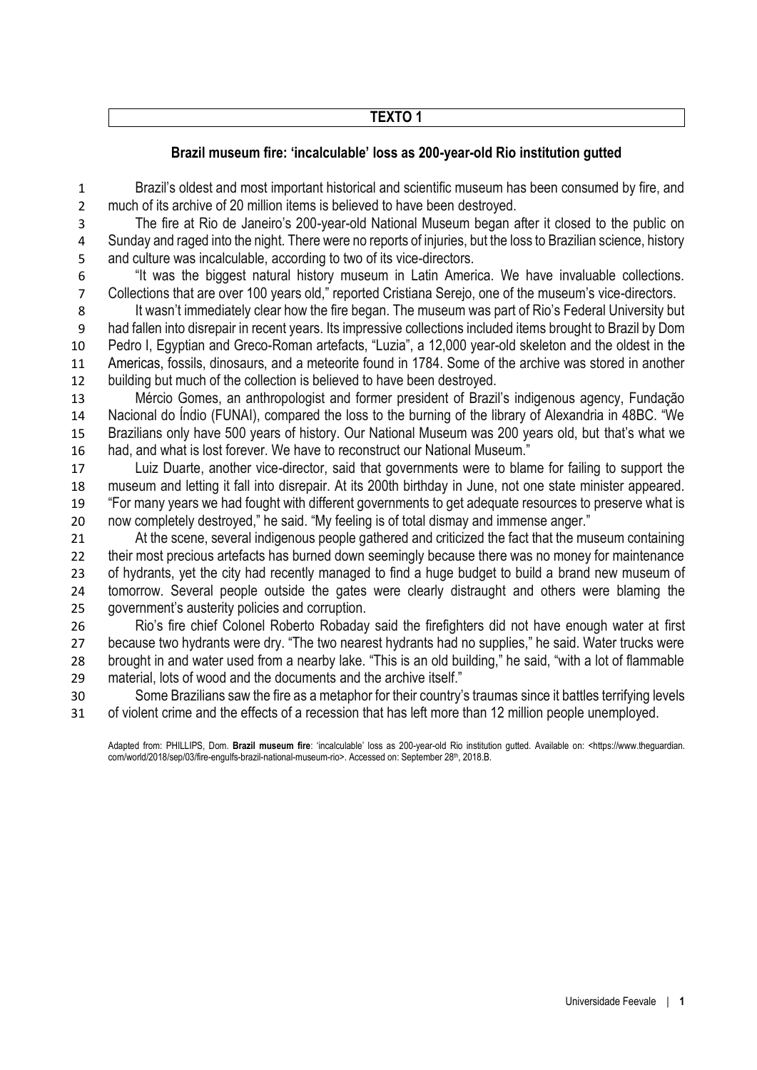### **TEXTO 1**

## **Brazil museum fire: 'incalculable' loss as 200-year-old Rio institution gutted**

 Brazil's oldest and most important historical and scientific museum has been consumed by fire, and much of its archive of 20 million items is believed to have been destroyed.

 The fire at Rio de Janeiro's 200-year-old National Museum began after it closed to the public on Sunday and raged into the night. There were no reports of injuries, but the loss to Brazilian science, history and culture was incalculable, according to two of its vice-directors.

 "It was the biggest natural history museum in Latin America. We have invaluable collections. Collections that are over 100 years old," reported Cristiana Serejo, one of the museum's vice-directors.

8 It wasn't immediately clear how the fire began. The museum was part of Rio's Federal University but had fallen into disrepair in recent years. Its impressive collections included items brought to Brazil by Dom Pedro I, Egyptian and Greco-Roman artefacts, "Luzia", a 12,000 year-old skeleton and the oldest in the Americas, fossils, dinosaurs, and a meteorite found in 1784. Some of the archive was stored in another building but much of the collection is believed to have been destroyed.

 Mércio Gomes, an anthropologist and former president of Brazil's indigenous agency, Fundação Nacional do Índio (FUNAI), compared the loss to the burning of the library of Alexandria in 48BC. "We Brazilians only have 500 years of history. Our National Museum was 200 years old, but that's what we had, and what is lost forever. We have to reconstruct our National Museum."

 Luiz Duarte, another vice-director, said that governments were to blame for failing to support the museum and letting it fall into disrepair. At its 200th birthday in June, not one state minister appeared. "For many years we had fought with different governments to get adequate resources to preserve what is now completely destroyed," he said. "My feeling is of total dismay and immense anger."

 At the scene, several indigenous people gathered and criticized the fact that the museum containing their most precious artefacts has burned down seemingly because there was no money for maintenance of hydrants, yet the city had recently managed to find a huge budget to build a brand new museum of tomorrow. Several people outside the gates were clearly distraught and others were blaming the government's austerity policies and corruption.

 Rio's fire chief Colonel Roberto Robaday said the firefighters did not have enough water at first because two hydrants were dry. "The two nearest hydrants had no supplies," he said. Water trucks were brought in and water used from a nearby lake. "This is an old building," he said, "with a lot of flammable material, lots of wood and the documents and the archive itself."

 Some Brazilians saw the fire as a metaphor for their country's traumas since it battles terrifying levels of violent crime and the effects of a recession that has left more than 12 million people unemployed.

Adapted from: PHILLIPS, Dom. **Brazil museum fire**: 'incalculable' loss as 200-year-old Rio institution gutted. Available on: <https://www.theguardian. com/world/2018/sep/03/fire-engulfs-brazil-national-museum-rio>. Accessed on: September 28th, 2018.B.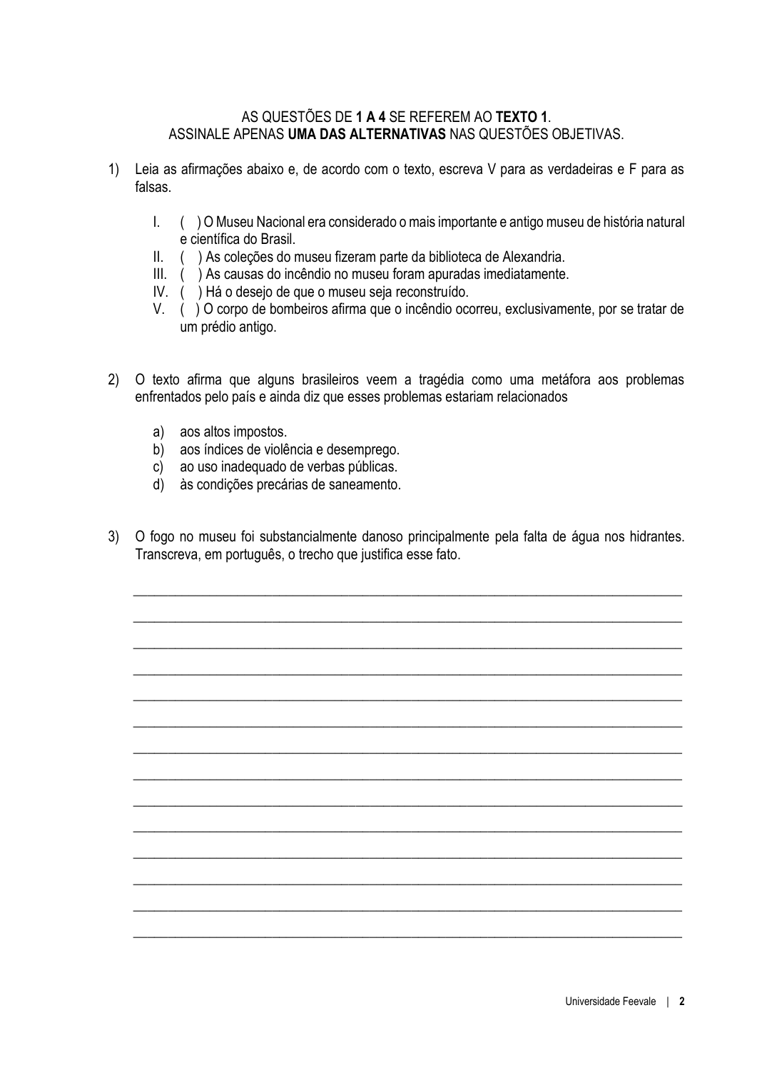#### AS QUESTÕES DE **1 A 4** SE REFEREM AO **TEXTO 1**. ASSINALE APENAS **UMA DAS ALTERNATIVAS** NAS QUESTÕES OBJETIVAS.

- 1) Leia as afirmações abaixo e, de acordo com o texto, escreva V para as verdadeiras e F para as falsas.
	- I. ( ) O Museu Nacional era considerado o mais importante e antigo museu de história natural e científica do Brasil.
	- II. ( ) As coleções do museu fizeram parte da biblioteca de Alexandria.
	- III. ( ) As causas do incêndio no museu foram apuradas imediatamente.
	- IV. ( ) Há o desejo de que o museu seja reconstruído.
	- V. ( ) O corpo de bombeiros afirma que o incêndio ocorreu, exclusivamente, por se tratar de um prédio antigo.
- 2) O texto afirma que alguns brasileiros veem a tragédia como uma metáfora aos problemas enfrentados pelo país e ainda diz que esses problemas estariam relacionados
	- a) aos altos impostos.
	- b) aos índices de violência e desemprego.
	- c) ao uso inadequado de verbas públicas.
	- d) às condições precárias de saneamento.
- 3) O fogo no museu foi substancialmente danoso principalmente pela falta de água nos hidrantes. Transcreva, em português, o trecho que justifica esse fato.

\_\_\_\_\_\_\_\_\_\_\_\_\_\_\_\_\_\_\_\_\_\_\_\_\_\_\_\_\_\_\_\_\_\_\_\_\_\_\_\_\_\_\_\_\_\_\_\_\_\_\_\_\_\_\_\_\_\_\_\_\_\_\_\_\_\_\_\_\_\_\_\_\_\_\_\_\_\_\_

\_\_\_\_\_\_\_\_\_\_\_\_\_\_\_\_\_\_\_\_\_\_\_\_\_\_\_\_\_\_\_\_\_\_\_\_\_\_\_\_\_\_\_\_\_\_\_\_\_\_\_\_\_\_\_\_\_\_\_\_\_\_\_\_\_\_\_\_\_\_\_\_\_\_\_\_\_\_\_

\_\_\_\_\_\_\_\_\_\_\_\_\_\_\_\_\_\_\_\_\_\_\_\_\_\_\_\_\_\_\_\_\_\_\_\_\_\_\_\_\_\_\_\_\_\_\_\_\_\_\_\_\_\_\_\_\_\_\_\_\_\_\_\_\_\_\_\_\_\_\_\_\_\_\_\_\_\_\_

 $\_$  , and the set of the set of the set of the set of the set of the set of the set of the set of the set of the set of the set of the set of the set of the set of the set of the set of the set of the set of the set of th

 $\_$  , and the set of the set of the set of the set of the set of the set of the set of the set of the set of the set of the set of the set of the set of the set of the set of the set of the set of the set of the set of th

\_\_\_\_\_\_\_\_\_\_\_\_\_\_\_\_\_\_\_\_\_\_\_\_\_\_\_\_\_\_\_\_\_\_\_\_\_\_\_\_\_\_\_\_\_\_\_\_\_\_\_\_\_\_\_\_\_\_\_\_\_\_\_\_\_\_\_\_\_\_\_\_\_\_\_\_\_\_\_

 $\_$  , and the set of the set of the set of the set of the set of the set of the set of the set of the set of the set of the set of the set of the set of the set of the set of the set of the set of the set of the set of th

\_\_\_\_\_\_\_\_\_\_\_\_\_\_\_\_\_\_\_\_\_\_\_\_\_\_\_\_\_\_\_\_\_\_\_\_\_\_\_\_\_\_\_\_\_\_\_\_\_\_\_\_\_\_\_\_\_\_\_\_\_\_\_\_\_\_\_\_\_\_\_\_\_\_\_\_\_\_\_

\_\_\_\_\_\_\_\_\_\_\_\_\_\_\_\_\_\_\_\_\_\_\_\_\_\_\_\_\_\_\_\_\_\_\_\_\_\_\_\_\_\_\_\_\_\_\_\_\_\_\_\_\_\_\_\_\_\_\_\_\_\_\_\_\_\_\_\_\_\_\_\_\_\_\_\_\_\_\_

\_\_\_\_\_\_\_\_\_\_\_\_\_\_\_\_\_\_\_\_\_\_\_\_\_\_\_\_\_\_\_\_\_\_\_\_\_\_\_\_\_\_\_\_\_\_\_\_\_\_\_\_\_\_\_\_\_\_\_\_\_\_\_\_\_\_\_\_\_\_\_\_\_\_\_\_\_\_\_

\_\_\_\_\_\_\_\_\_\_\_\_\_\_\_\_\_\_\_\_\_\_\_\_\_\_\_\_\_\_\_\_\_\_\_\_\_\_\_\_\_\_\_\_\_\_\_\_\_\_\_\_\_\_\_\_\_\_\_\_\_\_\_\_\_\_\_\_\_\_\_\_\_\_\_\_\_\_\_

\_\_\_\_\_\_\_\_\_\_\_\_\_\_\_\_\_\_\_\_\_\_\_\_\_\_\_\_\_\_\_\_\_\_\_\_\_\_\_\_\_\_\_\_\_\_\_\_\_\_\_\_\_\_\_\_\_\_\_\_\_\_\_\_\_\_\_\_\_\_\_\_\_\_\_\_\_\_\_

\_\_\_\_\_\_\_\_\_\_\_\_\_\_\_\_\_\_\_\_\_\_\_\_\_\_\_\_\_\_\_\_\_\_\_\_\_\_\_\_\_\_\_\_\_\_\_\_\_\_\_\_\_\_\_\_\_\_\_\_\_\_\_\_\_\_\_\_\_\_\_\_\_\_\_\_\_\_\_

 $\_$  , and the set of the set of the set of the set of the set of the set of the set of the set of the set of the set of the set of the set of the set of the set of the set of the set of the set of the set of the set of th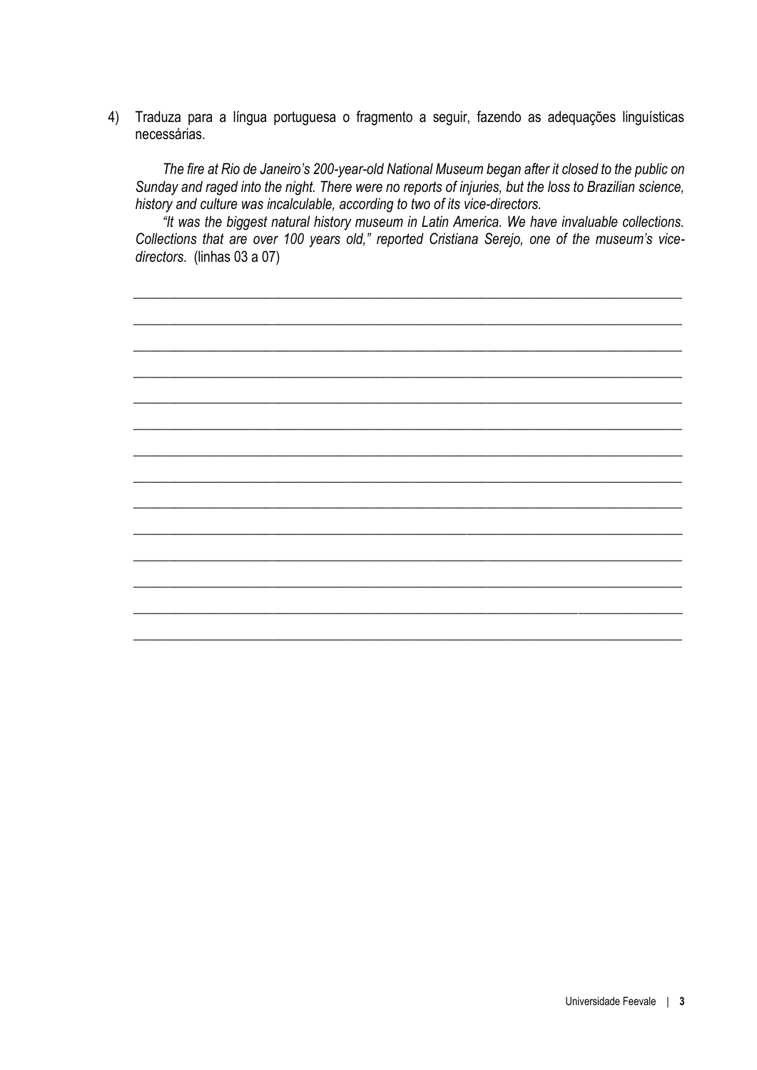4) Traduza para a língua portuguesa o fragmento a seguir, fazendo as adequações linguísticas necessárias.

*The fire at Rio de Janeiro's 200-year-old National Museum began after it closed to the public on Sunday and raged into the night. There were no reports of injuries, but the loss to Brazilian science, history and culture was incalculable, according to two of its vice-directors.* 

*"It was the biggest natural history museum in Latin America. We have invaluable collections. Collections that are over 100 years old," reported Cristiana Serejo, one of the museum's vicedirectors*. (linhas 03 a 07)

 $\_$  , and the set of the set of the set of the set of the set of the set of the set of the set of the set of the set of the set of the set of the set of the set of the set of the set of the set of the set of the set of th

 $\_$  , and the set of the set of the set of the set of the set of the set of the set of the set of the set of the set of the set of the set of the set of the set of the set of the set of the set of the set of the set of th

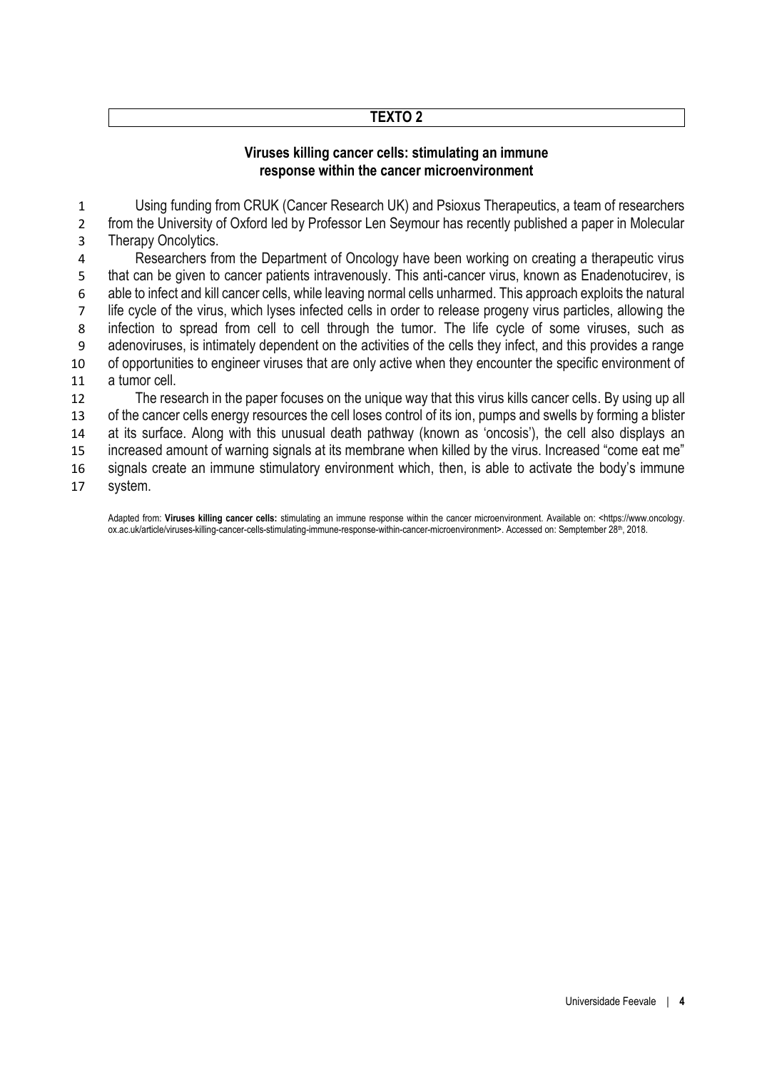### **TEXTO 2**

#### **Viruses killing cancer cells: stimulating an immune response within the cancer microenvironment**

 Using funding from CRUK (Cancer Research UK) and Psioxus Therapeutics, a team of researchers from the University of Oxford led by Professor Len Seymour has recently published a paper in Molecular Therapy Oncolytics.

 Researchers from the Department of Oncology have been working on creating a therapeutic virus that can be given to cancer patients intravenously. This anti-cancer virus, known as Enadenotucirev, is able to infect and kill cancer cells, while leaving normal cells unharmed. This approach exploits the natural life cycle of the virus, which lyses infected cells in order to release progeny virus particles, allowing the infection to spread from cell to cell through the tumor. The life cycle of some viruses, such as adenoviruses, is intimately dependent on the activities of the cells they infect, and this provides a range of opportunities to engineer viruses that are only active when they encounter the specific environment of a tumor cell.

 The research in the paper focuses on the unique way that this virus kills cancer cells. By using up all 13 of the cancer cells energy resources the cell loses control of its ion, pumps and swells by forming a blister at its surface. Along with this unusual death pathway (known as 'oncosis'), the cell also displays an increased amount of warning signals at its membrane when killed by the virus. Increased "come eat me" signals create an immune stimulatory environment which, then, is able to activate the body's immune

system.

Adapted from: **Viruses killing cancer cells:** stimulating an immune response within the cancer microenvironment. Available on: <https://www.oncology. ox.ac.uk/article/viruses-killing-cancer-cells-stimulating-immune-response-within-cancer-microenvironment>. Accessed on: Semptember 28th, 2018.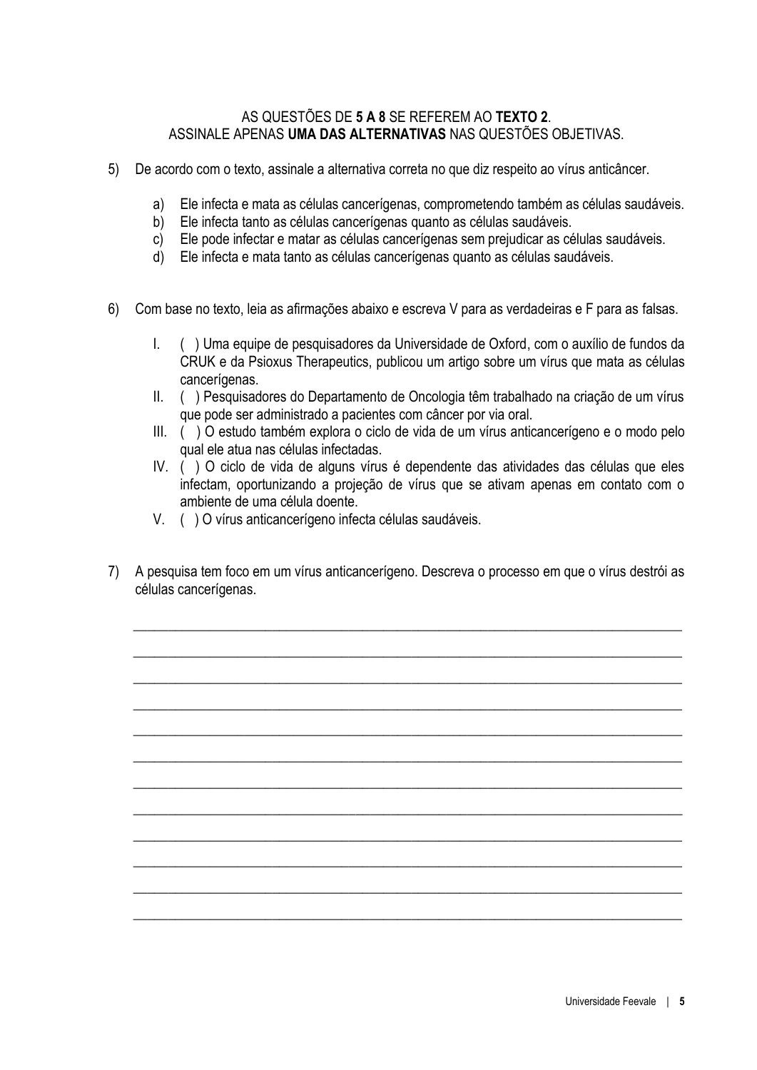#### AS QUESTÕES DE **5 A 8** SE REFEREM AO **TEXTO 2**. ASSINALE APENAS **UMA DAS ALTERNATIVAS** NAS QUESTÕES OBJETIVAS.

- 5) De acordo com o texto, assinale a alternativa correta no que diz respeito ao vírus anticâncer.
	- a) Ele infecta e mata as células cancerígenas, comprometendo também as células saudáveis.
	- b) Ele infecta tanto as células cancerígenas quanto as células saudáveis.
	- c) Ele pode infectar e matar as células cancerígenas sem prejudicar as células saudáveis.
	- d) Ele infecta e mata tanto as células cancerígenas quanto as células saudáveis.
- 6) Com base no texto, leia as afirmações abaixo e escreva V para as verdadeiras e F para as falsas.
	- I. ( ) Uma equipe de pesquisadores da Universidade de Oxford, com o auxílio de fundos da CRUK e da Psioxus Therapeutics, publicou um artigo sobre um vírus que mata as células cancerígenas.
	- II. ( ) Pesquisadores do Departamento de Oncologia têm trabalhado na criação de um vírus que pode ser administrado a pacientes com câncer por via oral.
	- III. ( ) O estudo também explora o ciclo de vida de um vírus anticancerígeno e o modo pelo qual ele atua nas células infectadas.
	- IV. ( ) O ciclo de vida de alguns vírus é dependente das atividades das células que eles infectam, oportunizando a projeção de vírus que se ativam apenas em contato com o ambiente de uma célula doente.
	- V. ( ) O vírus anticancerígeno infecta células saudáveis.
- 7) A pesquisa tem foco em um vírus anticancerígeno. Descreva o processo em que o vírus destrói as células cancerígenas.

 $\_$  , and the set of the set of the set of the set of the set of the set of the set of the set of the set of the set of the set of the set of the set of the set of the set of the set of the set of the set of the set of th

 $\_$  , and the set of the set of the set of the set of the set of the set of the set of the set of the set of the set of the set of the set of the set of the set of the set of the set of the set of the set of the set of th

\_\_\_\_\_\_\_\_\_\_\_\_\_\_\_\_\_\_\_\_\_\_\_\_\_\_\_\_\_\_\_\_\_\_\_\_\_\_\_\_\_\_\_\_\_\_\_\_\_\_\_\_\_\_\_\_\_\_\_\_\_\_\_\_\_\_\_\_\_\_\_\_\_\_\_\_\_\_\_

\_\_\_\_\_\_\_\_\_\_\_\_\_\_\_\_\_\_\_\_\_\_\_\_\_\_\_\_\_\_\_\_\_\_\_\_\_\_\_\_\_\_\_\_\_\_\_\_\_\_\_\_\_\_\_\_\_\_\_\_\_\_\_\_\_\_\_\_\_\_\_\_\_\_\_\_\_\_\_

\_\_\_\_\_\_\_\_\_\_\_\_\_\_\_\_\_\_\_\_\_\_\_\_\_\_\_\_\_\_\_\_\_\_\_\_\_\_\_\_\_\_\_\_\_\_\_\_\_\_\_\_\_\_\_\_\_\_\_\_\_\_\_\_\_\_\_\_\_\_\_\_\_\_\_\_\_\_\_

\_\_\_\_\_\_\_\_\_\_\_\_\_\_\_\_\_\_\_\_\_\_\_\_\_\_\_\_\_\_\_\_\_\_\_\_\_\_\_\_\_\_\_\_\_\_\_\_\_\_\_\_\_\_\_\_\_\_\_\_\_\_\_\_\_\_\_\_\_\_\_\_\_\_\_\_\_\_\_

\_\_\_\_\_\_\_\_\_\_\_\_\_\_\_\_\_\_\_\_\_\_\_\_\_\_\_\_\_\_\_\_\_\_\_\_\_\_\_\_\_\_\_\_\_\_\_\_\_\_\_\_\_\_\_\_\_\_\_\_\_\_\_\_\_\_\_\_\_\_\_\_\_\_\_\_\_\_\_

\_\_\_\_\_\_\_\_\_\_\_\_\_\_\_\_\_\_\_\_\_\_\_\_\_\_\_\_\_\_\_\_\_\_\_\_\_\_\_\_\_\_\_\_\_\_\_\_\_\_\_\_\_\_\_\_\_\_\_\_\_\_\_\_\_\_\_\_\_\_\_\_\_\_\_\_\_\_\_

 $\_$  , and the set of the set of the set of the set of the set of the set of the set of the set of the set of the set of the set of the set of the set of the set of the set of the set of the set of the set of the set of th

 $\_$  , and the set of the set of the set of the set of the set of the set of the set of the set of the set of the set of the set of the set of the set of the set of the set of the set of the set of the set of the set of th

 $\_$  , and the set of the set of the set of the set of the set of the set of the set of the set of the set of the set of the set of the set of the set of the set of the set of the set of the set of the set of the set of th

 $\_$  , and the set of the set of the set of the set of the set of the set of the set of the set of the set of the set of the set of the set of the set of the set of the set of the set of the set of the set of the set of th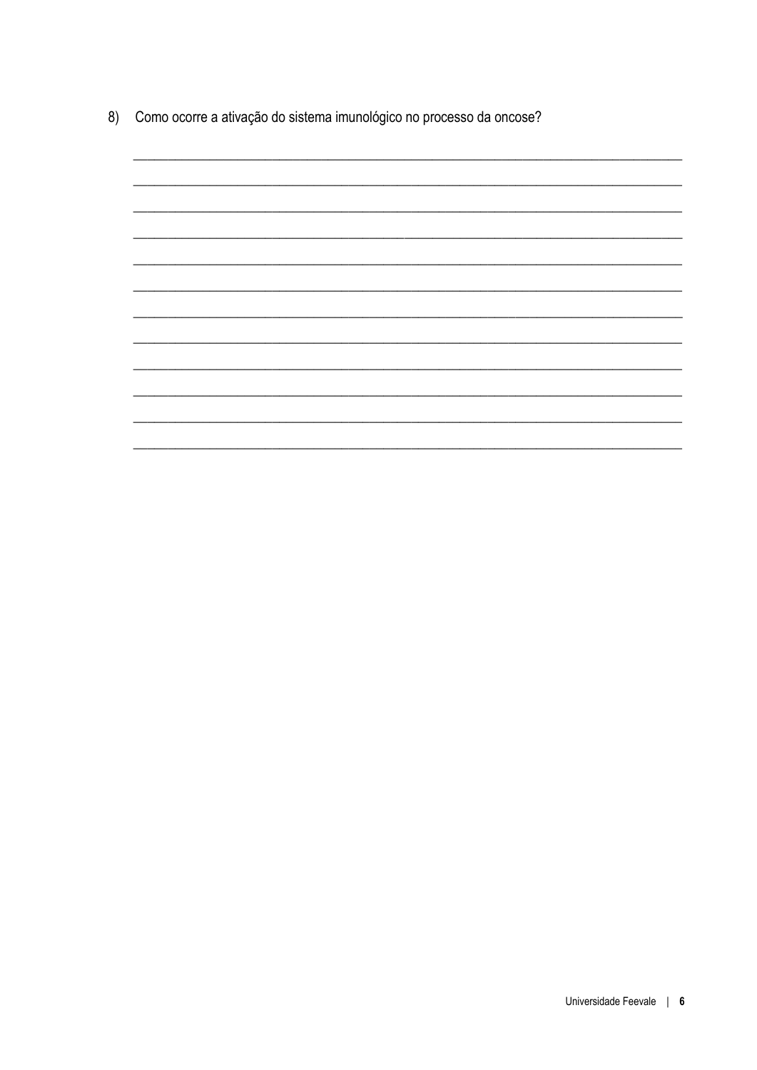8) Como ocorre a ativação do sistema imunológico no processo da oncose?

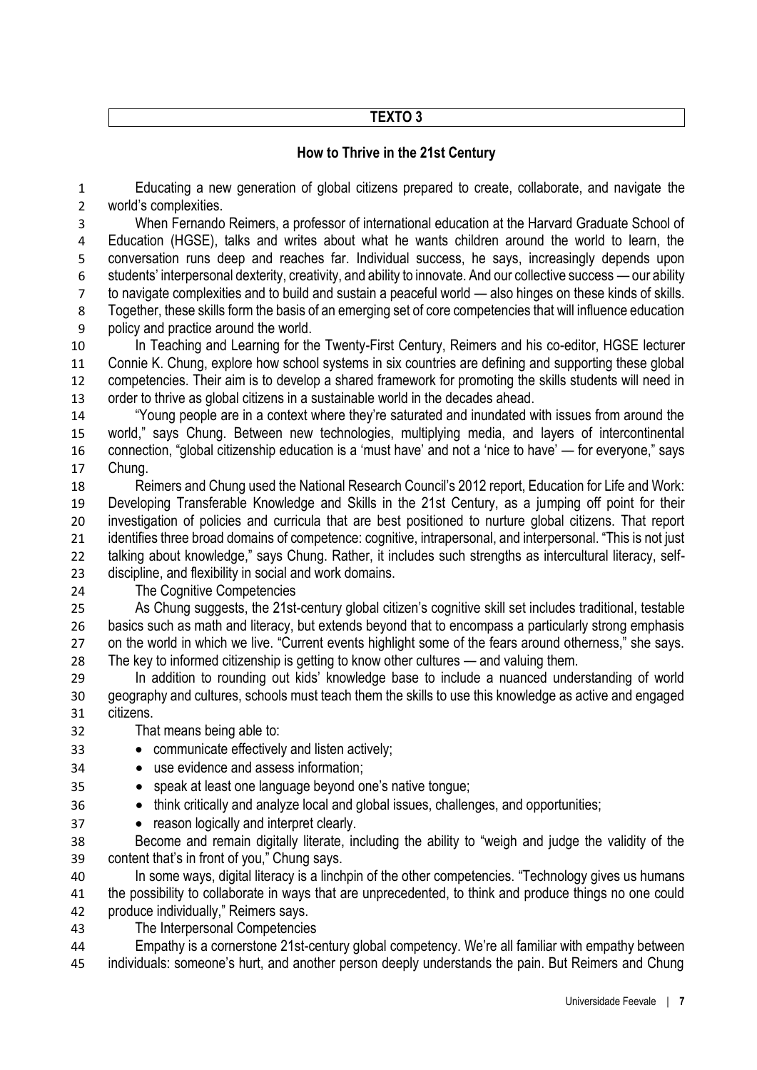# **TEXTO 3**

# **How to Thrive in the 21st Century**

 Educating a new generation of global citizens prepared to create, collaborate, and navigate the world's complexities.

 When Fernando Reimers, a professor of international education at the Harvard Graduate School of Education (HGSE), talks and writes about what he wants children around the world to learn, the conversation runs deep and reaches far. Individual success, he says, increasingly depends upon students' interpersonal dexterity, creativity, and ability to innovate. And our collective success — our ability to navigate complexities and to build and sustain a peaceful world — also hinges on these kinds of skills. Together, these skills form the basis of an emerging set of core competencies that will influence education policy and practice around the world.

 In Teaching and Learning for the Twenty-First Century, Reimers and his co-editor, HGSE lecturer Connie K. Chung, explore how school systems in six countries are defining and supporting these global competencies. Their aim is to develop a shared framework for promoting the skills students will need in order to thrive as global citizens in a sustainable world in the decades ahead.

 "Young people are in a context where they're saturated and inundated with issues from around the world," says Chung. Between new technologies, multiplying media, and layers of intercontinental connection, "global citizenship education is a 'must have' and not a 'nice to have' — for everyone," says Chung.

 Reimers and Chung used the National Research Council's 2012 report, Education for Life and Work: Developing Transferable Knowledge and Skills in the 21st Century, as a jumping off point for their investigation of policies and curricula that are best positioned to nurture global citizens. That report identifies three broad domains of competence: cognitive, intrapersonal, and interpersonal. "This is not just talking about knowledge," says Chung. Rather, it includes such strengths as intercultural literacy, self-discipline, and flexibility in social and work domains.

The Cognitive Competencies

 As Chung suggests, the 21st-century global citizen's cognitive skill set includes traditional, testable basics such as math and literacy, but extends beyond that to encompass a particularly strong emphasis 27 on the world in which we live. "Current events highlight some of the fears around otherness," she says. The key to informed citizenship is getting to know other cultures — and valuing them.

 In addition to rounding out kids' knowledge base to include a nuanced understanding of world geography and cultures, schools must teach them the skills to use this knowledge as active and engaged citizens.

- That means being able to:
- communicate effectively and listen actively;
- use evidence and assess information;
- speak at least one language beyond one's native tongue;
- 36 think critically and analyze local and global issues, challenges, and opportunities;
- **•** reason logically and interpret clearly.

 Become and remain digitally literate, including the ability to "weigh and judge the validity of the content that's in front of you," Chung says.

 In some ways, digital literacy is a linchpin of the other competencies. "Technology gives us humans the possibility to collaborate in ways that are unprecedented, to think and produce things no one could produce individually," Reimers says.

The Interpersonal Competencies

 Empathy is a cornerstone 21st-century global competency. We're all familiar with empathy between individuals: someone's hurt, and another person deeply understands the pain. But Reimers and Chung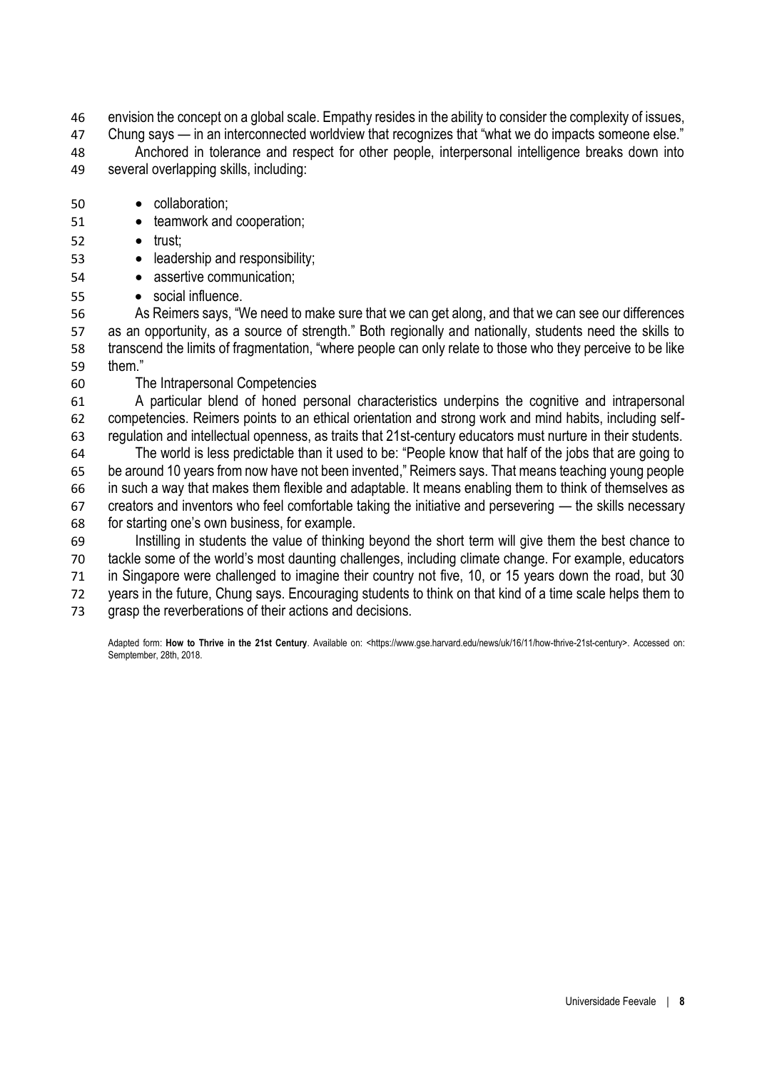envision the concept on a global scale. Empathy resides in the ability to consider the complexity of issues, Chung says — in an interconnected worldview that recognizes that "what we do impacts someone else."

 Anchored in tolerance and respect for other people, interpersonal intelligence breaks down into several overlapping skills, including:

- collaboration;
- **•** teamwork and cooperation;
- $52 \qquad \bullet \quad \text{trust:}$
- **e** leadership and responsibility;
- **· assertive communication:**
- social influence.

 As Reimers says, "We need to make sure that we can get along, and that we can see our differences as an opportunity, as a source of strength." Both regionally and nationally, students need the skills to transcend the limits of fragmentation, "where people can only relate to those who they perceive to be like them."

The Intrapersonal Competencies

 A particular blend of honed personal characteristics underpins the cognitive and intrapersonal competencies. Reimers points to an ethical orientation and strong work and mind habits, including self-regulation and intellectual openness, as traits that 21st-century educators must nurture in their students.

 The world is less predictable than it used to be: "People know that half of the jobs that are going to be around 10 years from now have not been invented," Reimers says. That means teaching young people in such a way that makes them flexible and adaptable. It means enabling them to think of themselves as creators and inventors who feel comfortable taking the initiative and persevering — the skills necessary for starting one's own business, for example.

 Instilling in students the value of thinking beyond the short term will give them the best chance to tackle some of the world's most daunting challenges, including climate change. For example, educators in Singapore were challenged to imagine their country not five, 10, or 15 years down the road, but 30 years in the future, Chung says. Encouraging students to think on that kind of a time scale helps them to grasp the reverberations of their actions and decisions.

Adapted form: **How to Thrive in the 21st Century**. Available on: <https://www.gse.harvard.edu/news/uk/16/11/how-thrive-21st-century>. Accessed on: Semptember, 28th, 2018.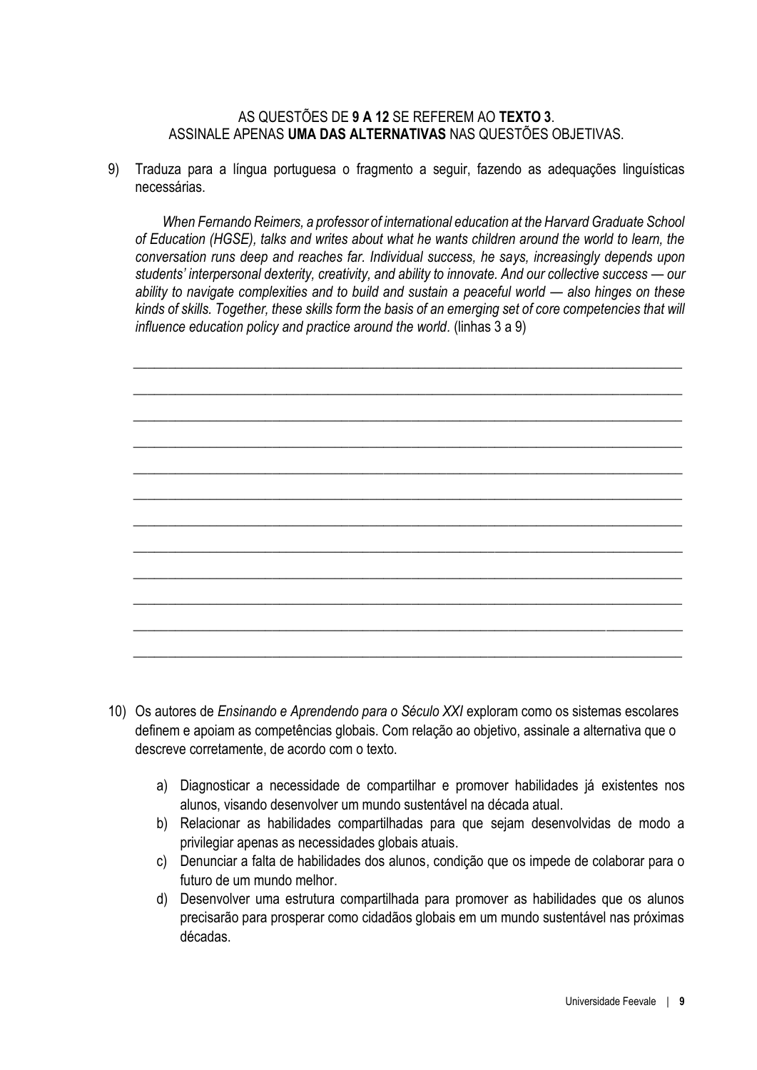#### AS QUESTÕES DE 9 A 12 SE REFEREM AO TEXTO 3. ASSINALE APENAS UMA DAS ALTERNATIVAS NAS QUESTÕES OBJETIVAS

9) Traduza para a língua portuguesa o fragmento a seguir, fazendo as adequações linguísticas necessárias.

When Fernando Reimers, a professor of international education at the Harvard Graduate School of Education (HGSE), talks and writes about what he wants children around the world to learn, the conversation runs deep and reaches far. Individual success, he says, increasingly depends upon students' interpersonal dexterity, creativity, and ability to innovate. And our collective success – our ability to navigate complexities and to build and sustain a peaceful world – also hinges on these kinds of skills. Together, these skills form the basis of an emerging set of core competencies that will influence education policy and practice around the world. (linhas 3 a 9)



- 10) Os autores de Ensinando e Aprendendo para o Século XXI exploram como os sistemas escolares definem e apoiam as competências globais. Com relação ao objetivo, assinale a alternativa que o descreve corretamente, de acordo com o texto.
	- a) Diagnosticar a necessidade de compartilhar e promover habilidades já existentes nos alunos, visando desenvolver um mundo sustentável na década atual.
	- b) Relacionar as habilidades compartilhadas para que sejam desenvolvidas de modo a privilegiar apenas as necessidades globais atuais.
	- c) Denunciar a falta de habilidades dos alunos, condição que os impede de colaborar para o futuro de um mundo melhor.
	- $\mathsf{d}$ Desenvolver uma estrutura compartilhada para promover as habilidades que os alunos precisarão para prosperar como cidadãos globais em um mundo sustentável nas próximas décadas.